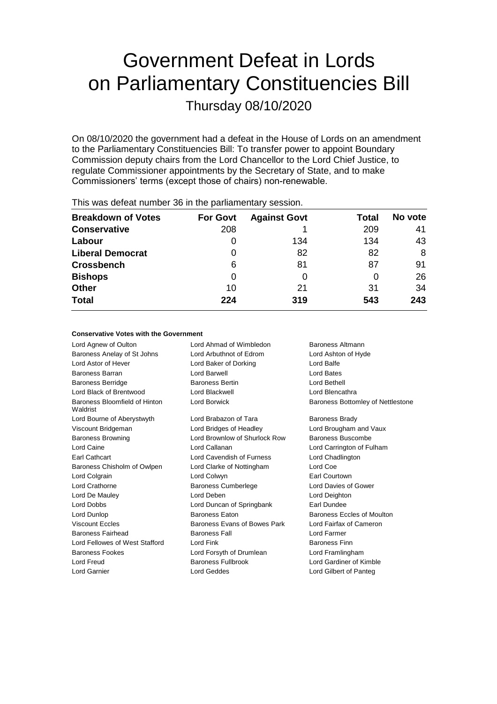# Government Defeat in Lords on Parliamentary Constituencies Bill

Thursday 08/10/2020

On 08/10/2020 the government had a defeat in the House of Lords on an amendment to the Parliamentary Constituencies Bill: To transfer power to appoint Boundary Commission deputy chairs from the Lord Chancellor to the Lord Chief Justice, to regulate Commissioner appointments by the Secretary of State, and to make Commissioners' terms (except those of chairs) non-renewable.

| This mas acteat hannour communication, accepting |                 |                     |       |         |  |
|--------------------------------------------------|-----------------|---------------------|-------|---------|--|
| <b>Breakdown of Votes</b>                        | <b>For Govt</b> | <b>Against Govt</b> | Total | No vote |  |
| <b>Conservative</b>                              | 208             |                     | 209   | 41      |  |
| Labour                                           |                 | 134                 | 134   | 43      |  |
| <b>Liberal Democrat</b>                          | 0               | 82                  | 82    | 8       |  |
| <b>Crossbench</b>                                | 6               | 81                  | 87    | 91      |  |
| <b>Bishops</b>                                   | 0               | O                   |       | 26      |  |
| <b>Other</b>                                     | 10              | 21                  | 31    | 34      |  |
| <b>Total</b>                                     | 224             | 319                 | 543   | 243     |  |
|                                                  |                 |                     |       |         |  |

This was defeat number 36 in the parliamentary session.

## **Conservative Votes with the Government**

Lord Agnew of Oulton Lord Ahmad of Wimbledon Baroness Altmann Baroness Anelay of St Johns Lord Arbuthnot of Edrom Lord Ashton of Hyde Lord Astor of Hever Lord Baker of Dorking Lord Balfe Baroness Barran **Communist Construction Construction** Lord Bates Lord Bates Baroness Berridge Baroness Bertin Lord Bethell Lord Black of Brentwood Lord Blackwell Lord Blencathra Baroness Bloomfield of Hinton Waldrist Lord Borwick **Baroness Bottomley of Nettlestone** Lord Bourne of Aberystwyth Lord Brabazon of Tara Baroness Brady Viscount Bridgeman Lord Bridges of Headley Lord Brougham and Vaux Baroness Browning **Lord Brownlow of Shurlock Row** Baroness Buscombe Lord Caine Lord Callanan Lord Carrington of Fulham Earl Cathcart Lord Cavendish of Furness Lord Chadlington Baroness Chisholm of Owlpen Lord Clarke of Nottingham Lord Coe Lord Colgrain Lord Colwyn Earl Courtown Lord Crathorne **Baroness Cumberlege** Lord Davies of Gower Lord De Mauley Lord Deben Lord Deighton Lord Dobbs Lord Duncan of Springbank Earl Dundee Lord Dunlop **Baroness Eaton** Baroness Eaton **Baroness Eccles of Moulton** Viscount Eccles **Baroness Evans of Bowes Park** Lord Fairfax of Cameron Baroness Fairhead Baroness Fall Lord Farmer Lord Fellowes of West Stafford Lord Fink Lord Finness Finn Baroness Fookes Lord Forsyth of Drumlean Lord Framlingham Lord Freud Baroness Fullbrook Lord Gardiner of Kimble Lord Garnier Lord Geddes Lord Gilbert of Panteg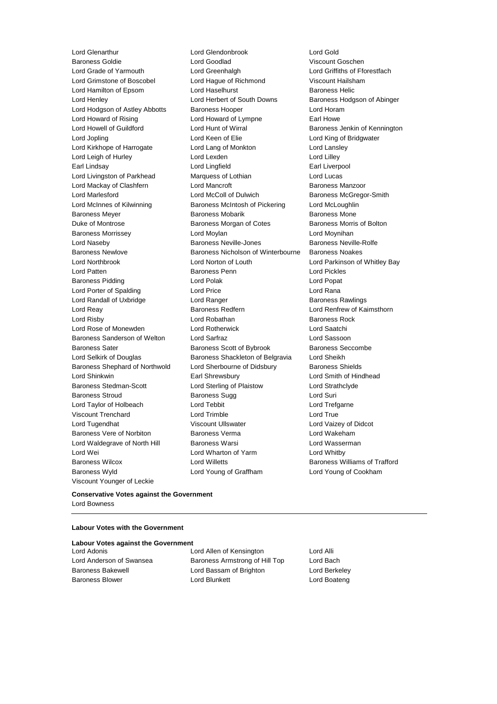Viscount Younger of Leckie

Lord Glenarthur Lord Glendonbrook Lord Gold **Lord Goodlad Construction Construction Construction Viscount Goschen** Lord Grade of Yarmouth Lord Greenhalgh Lord Griffiths of Fforestfach Lord Grimstone of Boscobel Lord Hague of Richmond Viscount Hailsham Lord Hamilton of Epsom Lord Haselhurst **Baroness Helic** Lord Henley Lord Herbert of South Downs Baroness Hodgson of Abinger Lord Hodgson of Astley Abbotts Baroness Hooper Superversion and Horam Lord Howard of Rising **Lord Howard of Lympne** Earl Howe Lord Howell of Guildford **Lord Hunt of Wirral** Baroness Jenkin of Kennington Lord Jopling Lord Keen of Elie Lord King of Bridgwater Lord Kirkhope of Harrogate Lord Lang of Monkton Lord Lansley Lord Leigh of Hurley **Lord Lord Lexden** Lord Lord Lilley Earl Lindsay Lord Lingfield Earl Liverpool Lord Livingston of Parkhead Marquess of Lothian Lord Lucas Lord Mackay of Clashfern Lord Mancroft Baroness Manzoor Lord Marlesford **Lord McColl of Dulwich** Baroness McGregor-Smith Lord McInnes of Kilwinning Baroness McIntosh of Pickering Lord McLoughlin Baroness Meyer **Baroness Mobarik** Baroness Mobarik Baroness Mone Duke of Montrose Baroness Morgan of Cotes Baroness Morris of Bolton Baroness Morrissey **Lord Moylan** Lord Moylan **Lord Moynihan** Lord Naseby Baroness Neville-Jones Baroness Neville-Rolfe Baroness Newlove Baroness Nicholson of Winterbourne Baroness Noakes Lord Northbrook Lord Norton of Louth Lord Parkinson of Whitley Bay Lord Patten Baroness Penn Lord Pickles Baroness Pidding **Lord Polace Contract Contract Lord Polace Contract Contract Contract Contract Contract Contract Contract Contract Contract Contract Contract Contract Contract Contract Contract Contract Contract Contract** Lord Porter of Spalding Lord Price Lord Rana Lord Randall of Uxbridge **Lord Ranger** Lord Ranger **Baroness Rawlings** Lord Reay **Baroness Redfern Baroness Redfern Lord Renfrew of Kaimsthorn** Lord Risby **Lord Robathan** Baroness Rock Lord Rose of Monewden Lord Rotherwick Lord Saatchi Baroness Sanderson of Welton Lord Sarfraz Lord Sassoon Baroness Sater **Baroness Scott of Bybrook** Baroness Seccombe Lord Selkirk of Douglas **Baroness Shackleton of Belgravia** Lord Sheikh Baroness Shephard of Northwold Lord Sherbourne of Didsbury Baroness Shields Lord Shinkwin Earl Shrewsbury Lord Smith of Hindhead Baroness Stedman-Scott **Lord Sterling of Plaistow** Lord Strathclyde Baroness Stroud **Baroness Sugg Contains Containers** Lord Suri Lord Taylor of Holbeach **Lord Tebbit** Lord Trefgarne Viscount Trenchard Lord Trimble Lord True Lord Tugendhat **Viscount Ullswater** Corresponding Lord Vaizey of Didcot Baroness Vere of Norbiton **Baroness Verma** Lord Wakeham Lord Waldegrave of North Hill Baroness Warsi **Lord Wasserman** Lord Wei **Lord Wharton of Yarm** Cord Whatby Lord Whitby Baroness Wilcox Lord Willetts Baroness Williams of Trafford Baroness Wyld Lord Young of Graffham Lord Young of Cookham

## **Conservative Votes against the Government** Lord Bowness

# **Labour Votes with the Government**

## **Labour Votes against the Government**

Lord Adonis Lord Allen of Kensington Lord Alli Lord Anderson of Swansea Baroness Armstrong of Hill Top Lord Bach Baroness Bakewell Lord Bassam of Brighton Lord Berkeley Baroness Blower **Lord Blunkett** Lord Boateng Lord Boateng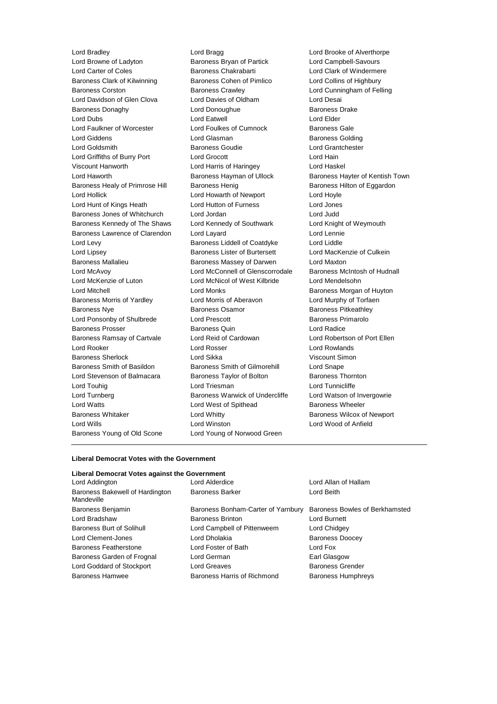Lord Browne of Ladyton Baroness Bryan of Partick Lord Campbell-Savours Lord Carter of Coles Baroness Chakrabarti Lord Clark of Windermere Baroness Clark of Kilwinning Baroness Cohen of Pimlico Lord Collins of Highbury Baroness Corston Baroness Crawley Lord Cunningham of Felling Lord Davidson of Glen Clova Lord Davies of Oldham Lord Desai Baroness Donaghy **Lord Donoughue** Baroness Drake Baroness Drake Lord Dubs Lord Eatwell Lord Elder Lord Faulkner of Worcester Lord Foulkes of Cumnock Baroness Gale Lord Giddens Lord Glasman Baroness Golding Lord Goldsmith Baroness Goudie Lord Grantchester Lord Griffiths of Burry Port Lord Grocott Lord Hain Viscount Hanworth Lord Harris of Haringey Lord Haskel Lord Haworth **Baroness Hayman of Ullock** Baroness Hayter of Kentish Town Baroness Healy of Primrose Hill Baroness Henig Baroness Hensen Baroness Hilton of Eggardon Lord Hollick Lord Howarth of Newport Lord Hoyle Lord Hunt of Kings Heath Lord Hutton of Furness Lord Jones Baroness Jones of Whitchurch Lord Jordan Lord Judd Baroness Kennedy of The Shaws Lord Kennedy of Southwark Lord Knight of Weymouth Baroness Lawrence of Clarendon Lord Layard Lord Lennie Lord Levy **Baroness Liddell of Coatdyke** Lord Liddle Lord Lipsey **Baroness Lister of Burtersett** Lord MacKenzie of Culkein Baroness Mallalieu Baroness Massey of Darwen Lord Maxton Lord McAvoy Lord McConnell of Glenscorrodale Baroness McIntosh of Hudnall Lord McKenzie of Luton Lord McNicol of West Kilbride Lord Mendelsohn Lord Mitchell Lord Monks Baroness Morgan of Huyton Baroness Morris of Yardley Lord Morris of Aberavon Lord Murphy of Torfaen Baroness Nye **Baroness Osamor** Baroness Osamor **Baroness Pitkeathley** Lord Ponsonby of Shulbrede Lord Prescott Baroness Primarolo Baroness Prosser Baroness Quin Lord Radice Baroness Ramsay of Cartvale Lord Reid of Cardowan Lord Robertson of Port Ellen Lord Rooker Lord Rosser Lord Rowlands Baroness Sherlock Lord Sikka Viscount Simon Baroness Smith of Basildon Baroness Smith of Gilmorehill Lord Snape Lord Stevenson of Balmacara **Baroness Taylor of Bolton** Baroness Thornton Lord Touhig Lord Triesman Lord Tunnicliffe Lord Turnberg **Baroness Warwick of Undercliffe** Lord Watson of Invergowrie Lord Watts **Lord West of Spithead** Baroness Wheeler Baroness Whitaker **Lord Whitty Lord Whitty Baroness Wilcox of Newport** Lord Wills Lord Winston Lord Wood of Anfield Baroness Young of Old Scone Lord Young of Norwood Green

Lord Bradley Lord Bragg Lord Brooke of Alverthorpe

#### **Liberal Democrat Votes with the Government**

# **Liberal Democrat Votes against the Government**

| Lord Addington                                | Lord Alderdice                     | Lord Allan of Hallam           |  |
|-----------------------------------------------|------------------------------------|--------------------------------|--|
| Baroness Bakewell of Hardington<br>Mandeville | <b>Baroness Barker</b>             | Lord Beith                     |  |
| Baroness Benjamin                             | Baroness Bonham-Carter of Yarnbury | Baroness Bowles of Berkhamsted |  |
| Lord Bradshaw                                 | <b>Baroness Brinton</b>            | Lord Burnett                   |  |
| <b>Baroness Burt of Solihull</b>              | Lord Campbell of Pittenweem        | Lord Chidgey                   |  |
| Lord Clement-Jones                            | Lord Dholakia                      | <b>Baroness Doocey</b>         |  |
| Baroness Featherstone                         | Lord Foster of Bath                | Lord Fox                       |  |
| Baroness Garden of Frognal                    | Lord German                        | Earl Glasgow                   |  |
| Lord Goddard of Stockport                     | Lord Greaves                       | <b>Baroness Grender</b>        |  |
| <b>Baroness Hamwee</b>                        | Baroness Harris of Richmond        | <b>Baroness Humphreys</b>      |  |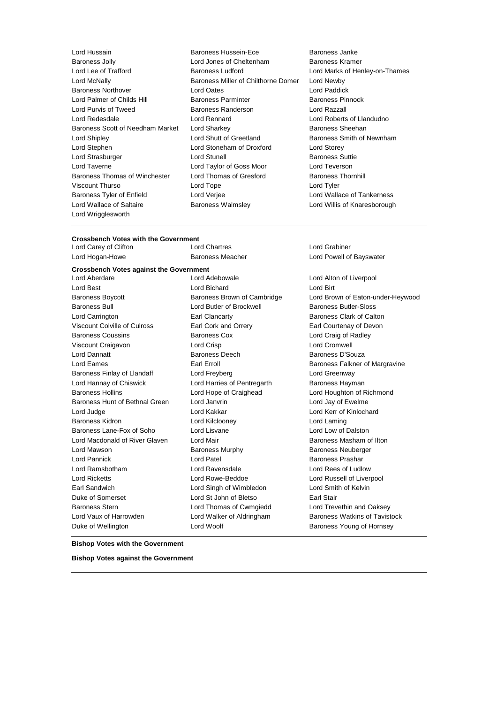Baroness Jolly **Lord Jones of Cheltenham**<br>
Lord Lee of Trafford **Baroness Ludford** Lord McNally **Baroness Miller of Chilthorne Domer** Baroness Miller of Chilthorne Domer Baroness Northover Lord Oates Lord Paddick Lord Palmer of Childs Hill **Baroness Parminter** Baroness Pinnock Lord Purvis of Tweed Baroness Randerson Lord Razzall Lord Redesdale Lord Rennard Lord Roberts of Llandudno Baroness Scott of Needham Market Lord Sharkey **Baroness Sheehan** Lord Shipley **Lord Shutt of Greetland** Baroness Smith of Newnham Lord Stephen Lord Stoneham of Droxford Lord Storey Lord Strasburger **Lord Stunell** Baroness Suttie Lord Taverne Lord Taylor of Goss Moor Lord Teverson Baroness Thomas of Winchester Lord Thomas of Gresford Baroness Thornhill Viscount Thurso Lord Tope Lord Tyler Baroness Tyler of Enfield Lord Verjee Lord Wallace of Tankerness Lord Wallace of Saltaire Baroness Walmsley Lord Willis of Knaresborough Lord Wrigglesworth

- Lord Hussain **Example 3 Example 2 Servers** Baroness Hussein-Ece **Baroness Janke**<br>Baroness Jolly **Baroness Hussein-Ece Baroness Aramer**<br>Baroness Kramer
	- Lord Marks of Henley-on-Thames<br>Lord Newby

## **Crossbench Votes with the Government**

| Lord Carey of Clifton                          | Lord Chartres                               | Lord Grabiner                     |  |
|------------------------------------------------|---------------------------------------------|-----------------------------------|--|
| Lord Hogan-Howe                                | <b>Baroness Meacher</b>                     | Lord Powell of Bayswater          |  |
| <b>Crossbench Votes against the Government</b> |                                             |                                   |  |
| Lord Aberdare                                  | Lord Adebowale                              | Lord Alton of Liverpool           |  |
| Lord Best                                      | Lord Bichard                                | Lord Birt                         |  |
| <b>Baroness Boycott</b>                        | Baroness Brown of Cambridge                 | Lord Brown of Eaton-under-Heywood |  |
| Baroness Bull                                  | Lord Butler of Brockwell                    | Baroness Butler-Sloss             |  |
| Lord Carrington                                | Earl Clancarty                              | Baroness Clark of Calton          |  |
| <b>Viscount Colville of Culross</b>            | Earl Cork and Orrery                        | Earl Courtenay of Devon           |  |
| <b>Baroness Coussins</b>                       | <b>Baroness Cox</b>                         | Lord Craig of Radley              |  |
| Viscount Craigavon                             | Lord Crisp                                  | <b>Lord Cromwell</b>              |  |
| Lord Dannatt                                   | <b>Baroness Deech</b>                       | Baroness D'Souza                  |  |
| Lord Eames                                     | Earl Erroll                                 | Baroness Falkner of Margravine    |  |
| Baroness Finlay of Llandaff                    | Lord Freyberg                               | Lord Greenway                     |  |
| Lord Hannay of Chiswick                        | Lord Harries of Pentregarth                 | Baroness Hayman                   |  |
| <b>Baroness Hollins</b>                        | Lord Hope of Craighead                      | Lord Houghton of Richmond         |  |
| Baroness Hunt of Bethnal Green                 | Lord Janvrin                                | Lord Jay of Ewelme                |  |
| Lord Judge                                     | Lord Kakkar                                 | Lord Kerr of Kinlochard           |  |
| <b>Baroness Kidron</b>                         | Lord Kilclooney                             | Lord Laming                       |  |
| Baroness Lane-Fox of Soho                      | Lord Lisvane                                | Lord Low of Dalston               |  |
| Lord Macdonald of River Glaven                 | Lord Mair                                   | Baroness Masham of Ilton          |  |
| Lord Mawson                                    | <b>Baroness Murphy</b>                      | <b>Baroness Neuberger</b>         |  |
| Lord Pannick                                   | Lord Patel                                  | Baroness Prashar                  |  |
| Lord Ramsbotham                                | Lord Ravensdale                             | Lord Rees of Ludlow               |  |
| <b>Lord Ricketts</b>                           | Lord Rowe-Beddoe                            | Lord Russell of Liverpool         |  |
| Earl Sandwich                                  | Lord Singh of Wimbledon                     | Lord Smith of Kelvin              |  |
| Duke of Somerset                               | Lord St John of Bletso<br><b>Earl Stair</b> |                                   |  |
| <b>Baroness Stern</b>                          | Lord Thomas of Cwmgiedd                     | Lord Trevethin and Oaksey         |  |
| Lord Vaux of Harrowden                         | Lord Walker of Aldringham                   | Baroness Watkins of Tavistock     |  |
| Duke of Wellington                             | Lord Woolf                                  | Baroness Young of Hornsey         |  |
|                                                |                                             |                                   |  |

**Bishop Votes with the Government**

**Bishop Votes against the Government**